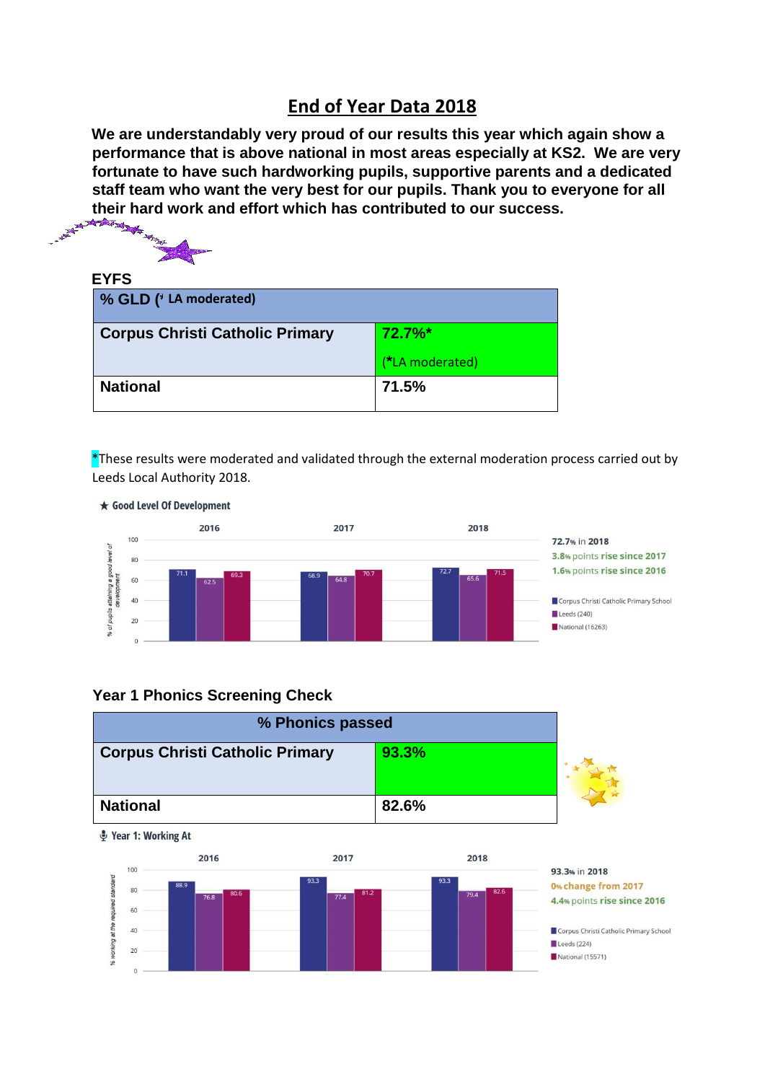## **End of Year Data 2018**

**We are understandably very proud of our results this year which again show a performance that is above national in most areas especially at KS2. We are very fortunate to have such hardworking pupils, supportive parents and a dedicated staff team who want the very best for our pupils. Thank you to everyone for all their hard work and effort which has contributed to our success.**<br> $\frac{1}{2}$ 



### **EYFS**

| % GLD ('LA moderated)                  |                 |
|----------------------------------------|-----------------|
| <b>Corpus Christi Catholic Primary</b> | $72.7\%$ *      |
|                                        | (*LA moderated) |
| <b>National</b>                        | 71.5%           |

 $*$ These results were moderated and validated through the external moderation process carried out by Leeds Local Authority 2018.



#### **Year 1 Phonics Screening Check**



Pear 1: Working At

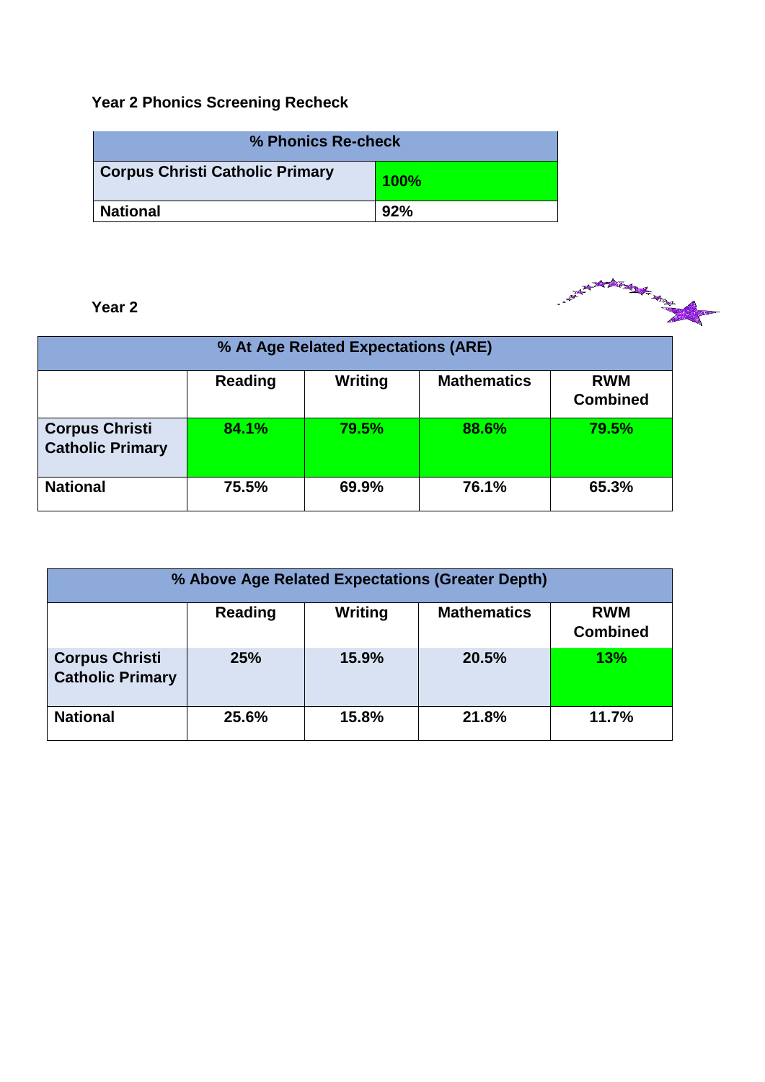# **Year 2 Phonics Screening Recheck**

| % Phonics Re-check                                |     |  |  |
|---------------------------------------------------|-----|--|--|
| <b>Corpus Christi Catholic Primary</b><br>$100\%$ |     |  |  |
| <b>National</b>                                   | 92% |  |  |

| Year 2                                           |                |                                     |                    | <b>Artist March 2007</b>      |
|--------------------------------------------------|----------------|-------------------------------------|--------------------|-------------------------------|
|                                                  |                | % At Age Related Expectations (ARE) |                    |                               |
|                                                  | <b>Reading</b> | <b>Writing</b>                      | <b>Mathematics</b> | <b>RWM</b><br><b>Combined</b> |
| <b>Corpus Christi</b><br><b>Catholic Primary</b> | 84.1%          | 79.5%                               | 88.6%              | 79.5%                         |
| <b>National</b>                                  | 75.5%          | 69.9%                               | 76.1%              | 65.3%                         |

| % Above Age Related Expectations (Greater Depth)                          |            |       |       |       |  |  |
|---------------------------------------------------------------------------|------------|-------|-------|-------|--|--|
| Writing<br><b>Mathematics</b><br>Reading<br><b>RWM</b><br><b>Combined</b> |            |       |       |       |  |  |
| <b>Corpus Christi</b><br><b>Catholic Primary</b>                          | <b>25%</b> | 15.9% | 20.5% | 13%   |  |  |
| <b>National</b>                                                           | 25.6%      | 15.8% | 21.8% | 11.7% |  |  |